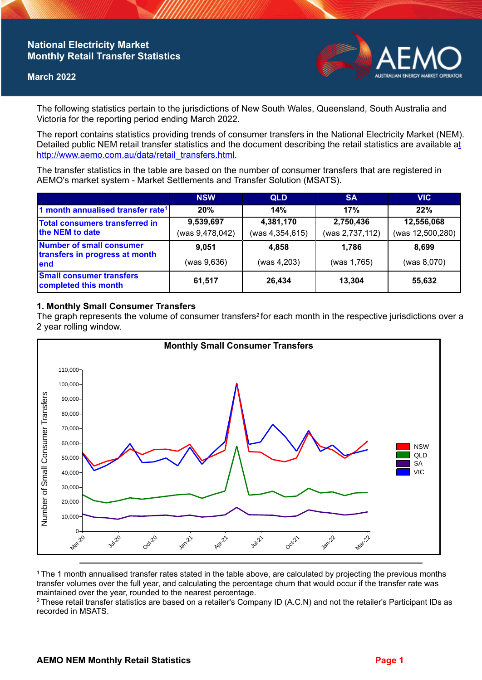# **National Electricity Market Monthly Retail Transfer Statistics**

#### **March 2022**



The following statistics pertain to the jurisdictions of New South Wales, Queensland, South Australia and Victoria for the reporting period ending March 2022.

The report contains statistics providing trends of consumer transfers in the National Electricity Market (NEM). Detailed public NEM retail transfer statistics and the document describing the retail statistics are available a[t](http://www.aemo.com.au/data/retail_transfers.html)  http://www.aemo.com.au/data/retail\_transfers.html

The transfer statistics in the table are based on the number of consumer transfers that are registered in AEMO's market system - Market Settlements and Transfer Solution (MSATS).

|                                                                    | <b>NSW</b>      | <b>QLD</b>      | <b>SA</b>       | <b>VIC</b>       |
|--------------------------------------------------------------------|-----------------|-----------------|-----------------|------------------|
| 1 month annualised transfer rate <sup>1</sup>                      | 20%             | 14%             | 17%             | 22%              |
| <b>Total consumers transferred in</b><br>the NEM to date           | 9,539,697       | 4,381,170       | 2,750,436       | 12,556,068       |
|                                                                    | (was 9,478,042) | (was 4,354,615) | (was 2,737,112) | (was 12,500,280) |
| Number of small consumer<br>transfers in progress at month<br>lend | 9.051           | 4,858           | 1.786           | 8.699            |
|                                                                    | (was 9,636)     | (was 4, 203)    | (was 1,765)     | (was 8,070)      |
| <b>Small consumer transfers</b><br>completed this month            | 61,517          | 26,434          | 13,304          | 55,632           |

## **1. Monthly Small Consumer Transfers**

The graph represents the volume of consumer transfers<sup>2</sup> for each month in the respective jurisdictions over a 2 year rolling window.



<sup>1</sup>The 1 month annualised transfer rates stated in the table above, are calculated by projecting the previous months transfer volumes over the full year, and calculating the percentage churn that would occur if the transfer rate was maintained over the year, rounded to the nearest percentage.

<sup>2</sup> These retail transfer statistics are based on a retailer's Company ID (A.C.N) and not the retailer's Participant IDs as recorded in MSATS.